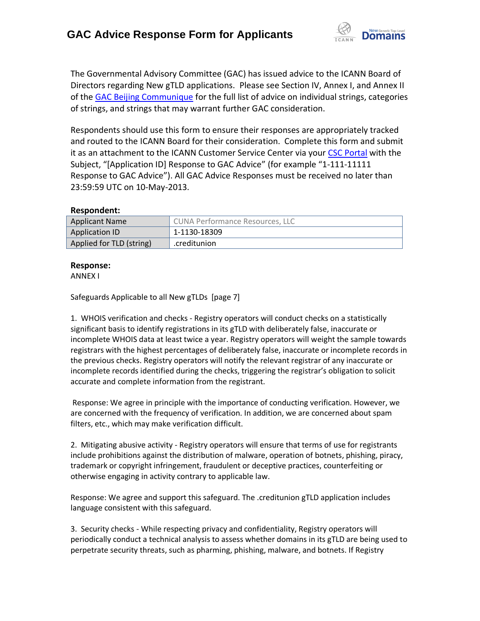

The Governmental Advisory Committee (GAC) has issued advice to the ICANN Board of Directors regarding New gTLD applications. Please see Section IV, Annex I, and Annex II of the [GAC Beijing Communique](http://www.icann.org/en/news/correspondence/gac-to-board-18apr13-en.pdf) for the full list of advice on individual strings, categories of strings, and strings that may warrant further GAC consideration.

Respondents should use this form to ensure their responses are appropriately tracked and routed to the ICANN Board for their consideration. Complete this form and submit it as an attachment to the ICANN Customer Service Center via your CSC [Portal](https://myicann.secure.force.com/) with the Subject, "[Application ID] Response to GAC Advice" (for example "1-111-11111 Response to GAC Advice"). All GAC Advice Responses must be received no later than 23:59:59 UTC on 10-May-2013.

### **Respondent:**

| <b>Applicant Name</b>    | <b>CUNA Performance Resources, LLC</b> |
|--------------------------|----------------------------------------|
| Application ID           | 1-1130-18309                           |
| Applied for TLD (string) | .creditunion                           |

### **Response:**

ANNEX I

Safeguards Applicable to all New gTLDs [page 7]

1. WHOIS verification and checks - Registry operators will conduct checks on a statistically significant basis to identify registrations in its gTLD with deliberately false, inaccurate or incomplete WHOIS data at least twice a year. Registry operators will weight the sample towards registrars with the highest percentages of deliberately false, inaccurate or incomplete records in the previous checks. Registry operators will notify the relevant registrar of any inaccurate or incomplete records identified during the checks, triggering the registrar's obligation to solicit accurate and complete information from the registrant.

Response: We agree in principle with the importance of conducting verification. However, we are concerned with the frequency of verification. In addition, we are concerned about spam filters, etc., which may make verification difficult.

2. Mitigating abusive activity - Registry operators will ensure that terms of use for registrants include prohibitions against the distribution of malware, operation of botnets, phishing, piracy, trademark or copyright infringement, fraudulent or deceptive practices, counterfeiting or otherwise engaging in activity contrary to applicable law.

Response: We agree and support this safeguard. The .creditunion gTLD application includes language consistent with this safeguard.

3. Security checks - While respecting privacy and confidentiality, Registry operators will periodically conduct a technical analysis to assess whether domains in its gTLD are being used to perpetrate security threats, such as pharming, phishing, malware, and botnets. If Registry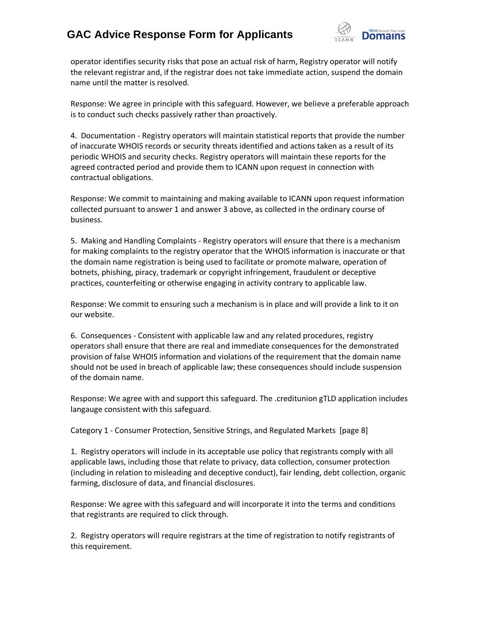## **GAC Advice Response Form for Applicants**



operator identifies security risks that pose an actual risk of harm, Registry operator will notify the relevant registrar and, if the registrar does not take immediate action, suspend the domain name until the matter is resolved.

Response: We agree in principle with this safeguard. However, we believe a preferable approach is to conduct such checks passively rather than proactively.

4. Documentation - Registry operators will maintain statistical reports that provide the number of inaccurate WHOIS records or security threats identified and actions taken as a result of its periodic WHOIS and security checks. Registry operators will maintain these reports for the agreed contracted period and provide them to ICANN upon request in connection with contractual obligations.

Response: We commit to maintaining and making available to ICANN upon request information collected pursuant to answer 1 and answer 3 above, as collected in the ordinary course of business.

5. Making and Handling Complaints - Registry operators will ensure that there is a mechanism for making complaints to the registry operator that the WHOIS information is inaccurate or that the domain name registration is being used to facilitate or promote malware, operation of botnets, phishing, piracy, trademark or copyright infringement, fraudulent or deceptive practices, counterfeiting or otherwise engaging in activity contrary to applicable law.

Response: We commit to ensuring such a mechanism is in place and will provide a link to it on our website.

6. Consequences - Consistent with applicable law and any related procedures, registry operators shall ensure that there are real and immediate consequences for the demonstrated provision of false WHOIS information and violations of the requirement that the domain name should not be used in breach of applicable law; these consequences should include suspension of the domain name.

Response: We agree with and support this safeguard. The .creditunion gTLD application includes langauge consistent with this safeguard.

Category 1 - Consumer Protection, Sensitive Strings, and Regulated Markets [page 8]

1. Registry operators will include in its acceptable use policy that registrants comply with all applicable laws, including those that relate to privacy, data collection, consumer protection (including in relation to misleading and deceptive conduct), fair lending, debt collection, organic farming, disclosure of data, and financial disclosures.

Response: We agree with this safeguard and will incorporate it into the terms and conditions that registrants are required to click through.

2. Registry operators will require registrars at the time of registration to notify registrants of this requirement.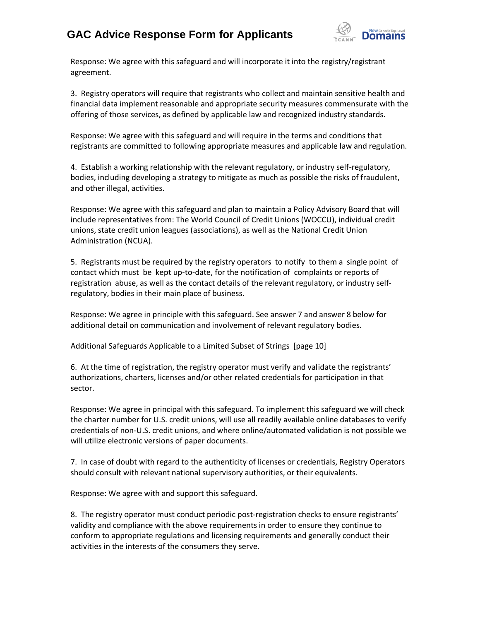### **GAC Advice Response Form for Applicants**



Response: We agree with this safeguard and will incorporate it into the registry/registrant agreement.

3. Registry operators will require that registrants who collect and maintain sensitive health and financial data implement reasonable and appropriate security measures commensurate with the offering of those services, as defined by applicable law and recognized industry standards.

Response: We agree with this safeguard and will require in the terms and conditions that registrants are committed to following appropriate measures and applicable law and regulation.

4. Establish a working relationship with the relevant regulatory, or industry self-regulatory, bodies, including developing a strategy to mitigate as much as possible the risks of fraudulent, and other illegal, activities.

Response: We agree with this safeguard and plan to maintain a Policy Advisory Board that will include representatives from: The World Council of Credit Unions (WOCCU), individual credit unions, state credit union leagues (associations), as well as the National Credit Union Administration (NCUA).

5. Registrants must be required by the registry operators to notify to them a single point of contact which must be kept up‐to‐date, for the notification of complaints or reports of registration abuse, as well as the contact details of the relevant regulatory, or industry self‐ regulatory, bodies in their main place of business.

Response: We agree in principle with this safeguard. See answer 7 and answer 8 below for additional detail on communication and involvement of relevant regulatory bodies.

Additional Safeguards Applicable to a Limited Subset of Strings [page 10]

6. At the time of registration, the registry operator must verify and validate the registrants' authorizations, charters, licenses and/or other related credentials for participation in that sector.

Response: We agree in principal with this safeguard. To implement this safeguard we will check the charter number for U.S. credit unions, will use all readily available online databases to verify credentials of non-U.S. credit unions, and where online/automated validation is not possible we will utilize electronic versions of paper documents.

7. In case of doubt with regard to the authenticity of licenses or credentials, Registry Operators should consult with relevant national supervisory authorities, or their equivalents.

Response: We agree with and support this safeguard.

8. The registry operator must conduct periodic post-registration checks to ensure registrants' validity and compliance with the above requirements in order to ensure they continue to conform to appropriate regulations and licensing requirements and generally conduct their activities in the interests of the consumers they serve.